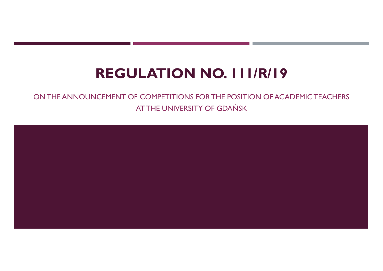# REGULATION NO. 111/R/19

# **CONTHE ANNOUNCEMENT OF COMPETITIONS FOR THE POSITION OF ACADEMIC TEACHERS**<br>ATTHE UNIVERSITY OF GDAŃSK AT THE UNIVERSITY OF GDAŃSK

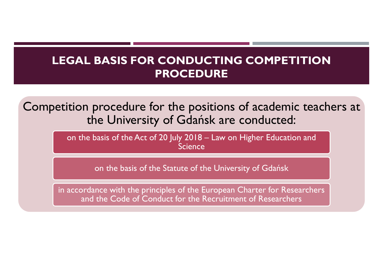#### LEGAL BASIS FOR CONDUCTING COMPETITION PROCEDURE

Competition procedure for the positions of academic teachers at the University of Gdańsk are conducted: **GAL BASIS FOR CONDUCTING COMPETITION**<br> **PROCEDURE**<br>
The University of Gdańsk are conducted:<br>
The basis of the Act of 20 July 2018 – Law on Higher Education and<br>
Science<br>
The basis of the Statute of the University of Gdańs

Science

on the basis of the Statute of the University of Gdańsk

in accordance with the principles of the European Charter for Researchers and the Code of Conduct for the Recruitment of Researchers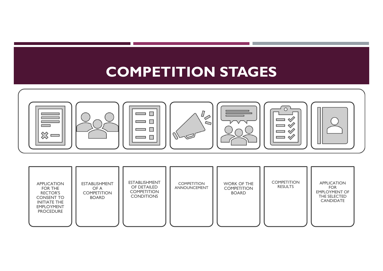

| <b>INITIATE THE</b><br><b>EMPLOYMENT</b><br><b>PROCEDURE</b> | <b>APPLICATION</b><br><b>ESTABLISHMENT</b><br>FOR THE<br>OF A<br><b>RECTOR'S</b><br><b>COMPETITION</b><br><b>BOARD</b><br><b>CONSENT TO</b> | <b>ESTABLISHMENT</b><br>OF DETAILED<br><b>COMPETITION</b><br><b>CONDITIONS</b> | <b>COMPETITION</b><br>ANNOUNCEMENT | <b>WORK OF THE</b><br><b>COMPETITION</b><br><b>BOARD</b> | <b>COMPETITION</b><br><b>RESULTS</b> | <b>APPLICATION</b><br><b>FOR</b><br><b>EMPLOYMENT OF</b><br>THE SELECTED<br><b>CANDIDATE</b> |  |
|--------------------------------------------------------------|---------------------------------------------------------------------------------------------------------------------------------------------|--------------------------------------------------------------------------------|------------------------------------|----------------------------------------------------------|--------------------------------------|----------------------------------------------------------------------------------------------|--|
|--------------------------------------------------------------|---------------------------------------------------------------------------------------------------------------------------------------------|--------------------------------------------------------------------------------|------------------------------------|----------------------------------------------------------|--------------------------------------|----------------------------------------------------------------------------------------------|--|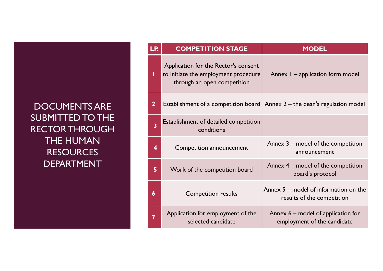#### DOCUMENTS ARE SUBMITTED TO THE RECTOR THROUGH THE HUMAN **RESOURCES** DEPARTMENT

| LP.                     | <b>COMPETITION STAGE</b>                                            | <b>MODEL</b>                                                                 |
|-------------------------|---------------------------------------------------------------------|------------------------------------------------------------------------------|
|                         | Application for the Rector's consent                                |                                                                              |
|                         | to initiate the employment procedure<br>through an open competition | Annex I - application form model                                             |
| $\mathbf{2}$            |                                                                     | Establishment of a competition board Annex $2$ – the dean's regulation model |
| $\overline{\mathbf{3}}$ | Establishment of detailed competition<br>conditions                 |                                                                              |
| 4                       | Competition announcement                                            | Annex 3 – model of the competition<br>announcement                           |
| 5 <sup>1</sup>          | Work of the competition board                                       | Annex $4$ – model of the competition<br>board's protocol                     |
| 6                       | <b>Competition results</b>                                          | Annex $5$ – model of information on the<br>results of the competition        |
| 7                       | Application for employment of the<br>selected candidate             | Annex 6 – model of application for<br>employment of the candidate            |
|                         |                                                                     |                                                                              |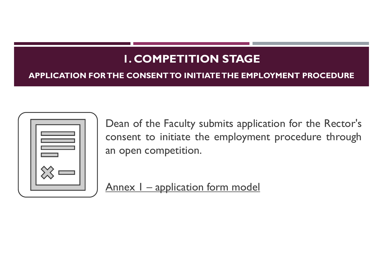# 1. COMPETITION STAGE

#### APPLICATION FOR THE CONSENT TO INITIATE THE EMPLOYMENT PROCEDURE



**DEAN OF THE COMPETITION STAGE<br>THE CONSENTTO INITIATE THE EMPLOYMENT PROCEDURE**<br>Dean of the Faculty submits application for the Rector's<br>consent to initiate the employment procedure through<br>an open competition. **COMPETITION STAGE<br>THE CONSENT TO INITIATE THE EMPLOYMENT PROCEDURE**<br>Dean of the Faculty submits application for the Rector's<br>consent to initiate the employment procedure through<br>an open competition. **1. COMPETITION STAGE**<br>THE CONSENT TO INITIATE THE EMPLOYMEN<br>Dean of the Faculty submits application for<br>consent to initiate the employment prod<br>an open competition. THE CONSENT TO INITIATE THE EMPLOYMENT I<br>Dean of the Faculty submits application for<br>consent to initiate the employment proced<br>an open competition.<br>Annex I – application form model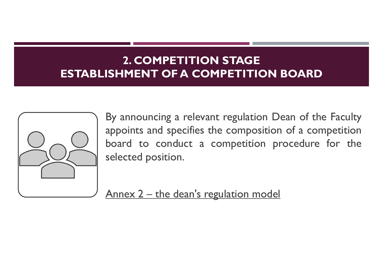## 2. COMPETITION STAGE ESTABLISHMENT OF A COMPETITION BOARD



**EXECUTE SERVIE THE SERVIE SERVIE THE SERVIE SERVIE THE SERVIE THE SERVIE THE SERVIE SERVIE THE SERVIE SERVIE THE SERVIE SERVIE THE SERVIE SERVIE THE SERVIE SERVIE SERVIE SERVIE SERVIE SERVIE SERVIE SERVIE SERVIE SERVIE SE 2. COMPETITION STAGE<br>ISHMENT OF A COMPETITION BOARD**<br>By announcing a relevant regulation Dean of the Faculty<br>appoints and specifies the composition of a competition<br>board to conduct a competition procedure for the<br>selecte **EXECUTE ISLEMENT OF A COMPETITION BOARD**<br>By announcing a relevant regulation Dean of the Faculty<br>appoints and specifies the composition of a competition<br>board to conduct a competition procedure for the<br>selected position. **EXECUTE: A COMPETITION STAGE<br>
SEMPLENT OF A COMPETITION BC**<br>
By announcing a relevant regulation Dean<br>
appoints and specifies the composition of<br>
board to conduct a competition proce<br>
selected position. By announcing a relevant regulation Dean of the Faculty<br>appoints and specifies the composition of a competition<br>board to conduct a competition procedure for the<br>selected position.<br>Annex 2 – the dean's regulation model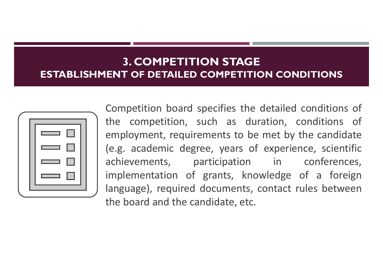#### 3. COMPETITION STAGE ESTABLISHMENT OF DETAILED COMPETITION CONDITIONS



**ENT OF DETAILED COMPETITION CONDITIONS<br>
Competition board specifies the detailed conditions of<br>
the competition, such as duration, conditions of<br>
employment, requirements to be met by the candidate 3. COMPETITION STAGE<br>
ENT OF DETAILED COMPETITION CONDITIONS**<br>
Competition board specifies the detailed conditions of<br>
the competition, such as duration, conditions of<br>
employment, requirements to be met by the candidate<br> **ENT OF DETAILED COMPETITION CONDITIONS<br>
ENT OF DETAILED COMPETITION CONDITIONS**<br>
Competition board specifies the detailed conditions of<br>
the competition, such as duration, conditions of<br>
employment, requirements to be met (e.g. academic of grants, knowledge of a foreign<br>implementation of the competition board specifies the detailed conditions of<br>the competition, such as duration, conditions of<br>employment, requirements to be met by the candi **3. COMPETITION STAGE<br>
ENT OF DETAILED COMPETITION CONDITIONS**<br>
Competition board specifies the detailed conditions of<br>
the competition, such as duration, conditions of<br>
employment, requirements to be met by the candidate<br> **ENT OF DETAILED COMPETITION CONDITIONS**<br>Competition board specifies the detailed conditions of<br>the competition, such as duration, conditions of<br>employment, requirements to be met by the candidate<br>(e.g. academic degree, ye Competition board specifies the detailed conditions of<br>the competition, such as duration, conditions of<br>employment, requirements to be met by the candidate<br>(e.g. academic degree, years of experience, scientific<br>achievement Competition board specifies the detailed conditions of<br>the competition, such as duration, conditions of<br>employment, requirements to be met by the candidate<br>(e.g. academic degree, years of experience, scientific<br>achievement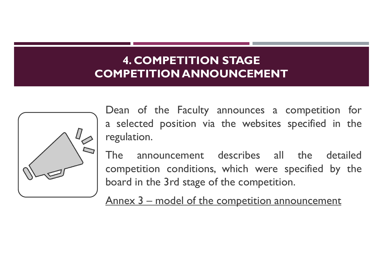#### 4. COMPETITION STAGE COMPETITION ANNOUNCEMENT



**EXECUTE AND ANNOUNCEMENT**<br>Dean of the Faculty announces a competition for<br>a selected position via the websites specified in the<br>regulation. **4. COMPETITION STAGE<br>
Dean of the Faculty announces a competition for<br>
a selected position via the websites specified in the<br>
regulation.<br>
The appouncement describes all the detailed** regulation.

**EXECUTE ANNOUNCEMENT**<br> **The announcement describes a** competition for<br> **Solution** of the Faculty announces a competition for<br> **Solution**<br> **The announcement describes all the detailed<br>
competition conditions, which were sp 4. COMPETITION STAGE<br>
Dean** of the Faculty announces a competition for<br>
a selected position via the websites specified in the<br>
regulation.<br>
The announcement describes all the detailed<br>
competition conditions, which were s **EXECUTE ON ANNOUNCEMENT**<br>
Dean of the Faculty announces a competition for<br>
a selected position via the websites specified in the<br>
regulation.<br>
The announcement describes all the detailed<br>
competition conditions, which wer Dean of the Faculty announces a competition<br>a selected position via the websites specified in<br>regulation.<br>The announcement describes all the det<br>competition conditions, which were specified by<br>board in the 3rd stage of the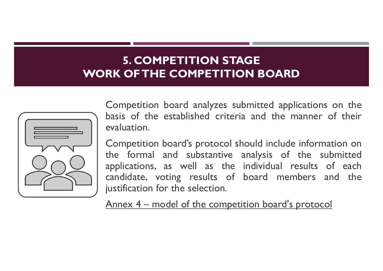#### 5. COMPETITION STAGE WORK OF THE COMPETITION BOARD



**S. COMPETITION STAGE<br>
RK OF THE COMPETITION BOARD**<br>
Competition board analyzes submitted applications on the<br>
basis of the established criteria and the manner of their<br>
evaluation. **basis of the existed competent of the established criteria and the manner of their**<br>competition board analyzes submitted applications on the basis of the established criteria and the manner of their evaluation.<br>Competitio evaluation.

**S. COMPETITION STAGE<br>
RK OF THE COMPETITION BOARD**<br>
Competition board analyzes submitted applications on the<br>
basis of the established criteria and the manner of their<br>
evaluation.<br>
Competition board's protocol should inc **5. COMPETITION STAGE<br>
RK OF THE COMPETITION BOARD**<br>
Competition board analyzes submitted applications on the<br>
basis of the established criteria and the manner of their<br>
evaluation.<br>
Competition board's protocol should inc **5. COMPETITION STAGE<br>RK OFTHE COMPETITION BOARD**<br>Competition board analyzes submitted applications on the<br>basis of the established criteria and the manner of their<br>evaluation.<br>Competition board's protocol should include i **RK OF THE COMPETITION BOARD**<br>Competition board analyzes submitted applications on the<br>basis of the established criteria and the manner of their<br>evaluation.<br>Competition board's protocol should include information on<br>the fo **EXAMPLE COMPETITION BOARD**<br>Competition board analyzes submitted applications consists of the established criteria and the manner of<br>evaluation.<br>Competition board's protocol should include information<br>the formal and substa Competition board analyzes submitted applications<br>basis of the established criteria and the manner c<br>evaluation.<br>Competition board's protocol should include informat<br>the formal and substantive analysis of the sult<br>applicat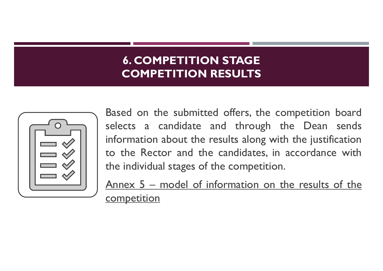## 6. COMPETITION STAGE COMPETITION RESULTS



**6. COMPETITION STAGE<br>
COMPETITION RESULTS**<br>
Based on the submitted offers, the competition board<br>
selects a candidate and through the Dean sends<br>
information about the results along with the justification **6. COMPETITION STAGE<br>COMPETITION RESULTS**<br>Based on the submitted offers, the competition board<br>selects a candidate and through the Dean sends<br>information about the results along with the justification<br>to the Rector and th **6. COMPETITION STAGE<br>
COMPETITION RESULTS**<br>
Based on the submitted offers, the competition board<br>
selects a candidate and through the Dean sends<br>
information about the results along with the justification<br>
to the Rector a **6. COMPETITION STAGE<br>
COMPETITION RESULTS**<br>
Based on the submitted offers, the competition board<br>
selects a candidate and through the Dean sends<br>
information about the results along with the justification<br>
to the Rector a **6. COMPETITION STAGE<br>
COMPETITION RESULTS**<br>
Based on the submitted offers, the competition board<br>
selects a candidate and through the Dean sends<br>
information about the results along with the justification<br>
to the Rector a **COMPETITION RESULTS**<br>Based on the submitted offers, the competition board<br>selects a candidate and through the Dean sends<br>information about the results along with the justification<br>to the Rector and the candidates, in acco

**competition**